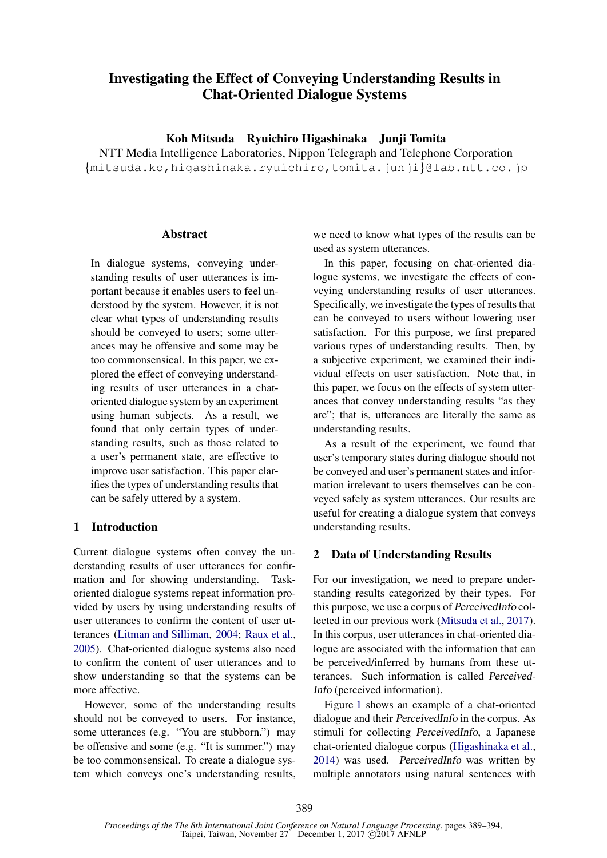# Investigating the Effect of Conveying Understanding Results in Chat-Oriented Dialogue Systems

Koh Mitsuda Ryuichiro Higashinaka Junji Tomita

NTT Media Intelligence Laboratories, Nippon Telegraph and Telephone Corporation {mitsuda.ko,higashinaka.ryuichiro,tomita.junji}@lab.ntt.co.jp

#### **Abstract**

In dialogue systems, conveying understanding results of user utterances is important because it enables users to feel understood by the system. However, it is not clear what types of understanding results should be conveyed to users; some utterances may be offensive and some may be too commonsensical. In this paper, we explored the effect of conveying understanding results of user utterances in a chatoriented dialogue system by an experiment using human subjects. As a result, we found that only certain types of understanding results, such as those related to a user's permanent state, are effective to improve user satisfaction. This paper clarifies the types of understanding results that can be safely uttered by a system.

## 1 Introduction

Current dialogue systems often convey the understanding results of user utterances for confirmation and for showing understanding. Taskoriented dialogue systems repeat information provided by users by using understanding results of user utterances to confirm the content of user utterances (Litman and Silliman, 2004; Raux et al., 2005). Chat-oriented dialogue systems also need to confirm the content of user utterances and to show understanding so that the systems can be more affective.

However, some of the understanding results should not be conveyed to users. For instance, some utterances (e.g. "You are stubborn.") may be offensive and some (e.g. "It is summer.") may be too commonsensical. To create a dialogue system which conveys one's understanding results,

we need to know what types of the results can be used as system utterances.

In this paper, focusing on chat-oriented dialogue systems, we investigate the effects of conveying understanding results of user utterances. Specifically, we investigate the types of results that can be conveyed to users without lowering user satisfaction. For this purpose, we first prepared various types of understanding results. Then, by a subjective experiment, we examined their individual effects on user satisfaction. Note that, in this paper, we focus on the effects of system utterances that convey understanding results "as they are"; that is, utterances are literally the same as understanding results.

As a result of the experiment, we found that user's temporary states during dialogue should not be conveyed and user's permanent states and information irrelevant to users themselves can be conveyed safely as system utterances. Our results are useful for creating a dialogue system that conveys understanding results.

## 2 Data of Understanding Results

For our investigation, we need to prepare understanding results categorized by their types. For this purpose, we use a corpus of PerceivedInfo collected in our previous work (Mitsuda et al., 2017). In this corpus, user utterances in chat-oriented dialogue are associated with the information that can be perceived/inferred by humans from these utterances. Such information is called Perceived-Info (perceived information).

Figure 1 shows an example of a chat-oriented dialogue and their PerceivedInfo in the corpus. As stimuli for collecting PerceivedInfo, a Japanese chat-oriented dialogue corpus (Higashinaka et al., 2014) was used. PerceivedInfo was written by multiple annotators using natural sentences with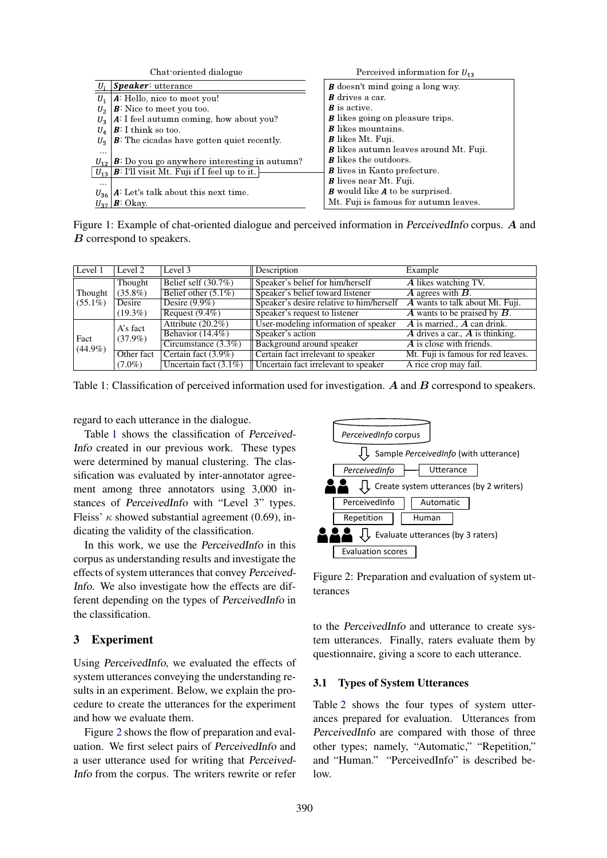|                | Chat oriented dialogue                                              | Perceived information for $U_{13}$             |
|----------------|---------------------------------------------------------------------|------------------------------------------------|
| U,             | <i>Speaker</i> : utterance                                          | <b><i>B</i></b> doesn't mind going a long way. |
| $U_1$          | A: Hello, nice to meet you!                                         | <b>B</b> drives a car.                         |
| U <sub>2</sub> | $\vert \mathbf{B}$ : Nice to meet you too.                          | $\boldsymbol{B}$ is active.                    |
| U <sub>2</sub> | $ A:$ I feel autumn coming, how about you?                          | <b>B</b> likes going on pleasure trips.        |
| $U_{\Lambda}$  | $\boldsymbol{B}$ : I think so too.                                  | <b>B</b> likes mountains.                      |
| $U_{\pi}$      | $\vert \mathbf{B}$ : The cicadas have gotten quiet recently.        | <b>B</b> likes Mt. Fuji.                       |
| $\cdots$       |                                                                     | <b>B</b> likes autumn leaves around Mt. Fuji.  |
|                | $U_{12}$ $B$ : Do you go anywhere interesting in autumn?            | <b>B</b> likes the outdoors.                   |
|                | $U_{13}$ $\vert$ <b>B</b> : I'll visit Mt. Fuji if I feel up to it. | <b>B</b> lives in Kanto prefecture.            |
| $\cdots$       |                                                                     | <b>B</b> lives near Mt. Fuji.                  |
|                | $U_{36}$   A: Let's talk about this next time.                      | <b>B</b> would like A to be surprised.         |
|                | $U_{37}$ $\boldsymbol{B}$ : Okay.                                   | Mt. Fuji is famous for autumn leaves.          |

Figure 1: Example of chat-oriented dialogue and perceived information in PerceivedInfo corpus. A and B correspond to speakers.

| Level 1               | Level 2                                                                | Level 3                                                    | Description                          | Example                                                       |
|-----------------------|------------------------------------------------------------------------|------------------------------------------------------------|--------------------------------------|---------------------------------------------------------------|
| Thought<br>$(55.1\%)$ | Thought                                                                | Belief self $(30.7\%)$<br>Speaker's belief for him/herself |                                      | A likes watching TV.                                          |
|                       | Belief other $(5.1\%)$<br>$(35.8\%)$                                   |                                                            | Speaker's belief toward listener     | $\overline{A}$ agrees with $\overline{B}$ .                   |
|                       | Speaker's desire relative to him/herself<br>Desire $(9.9\%)$<br>Desire |                                                            | A wants to talk about Mt. Fuji.      |                                                               |
|                       | $(19.3\%)$                                                             | Request $(9.4\%)$                                          | Speaker's request to listener        | $\overline{A}$ wants to be praised by $\overline{B}$ .        |
|                       | A's fact<br>$(37.9\%)$                                                 | Attribute $(20.2\%)$                                       | User-modeling information of speaker | $\overline{A}$ is married., $\overline{A}$ can drink.         |
| Fact                  |                                                                        | Behavior $(14.4\%)$                                        | Speaker's action                     | $\boldsymbol{A}$ drives a car., $\boldsymbol{A}$ is thinking. |
| $(44.9\%)$            |                                                                        | Circumstance $(3.3\%)$                                     | Background around speaker            | A is close with friends.                                      |
|                       | Other fact                                                             | Certain fact $(3.9\%)$                                     | Certain fact irrelevant to speaker   | Mt. Fuji is famous for red leaves.                            |
|                       | $(7.0\%)$                                                              | Uncertain fact $(3.1\%)$                                   | Uncertain fact irrelevant to speaker | A rice crop may fail.                                         |

Table 1: Classification of perceived information used for investigation. A and B correspond to speakers.

regard to each utterance in the dialogue.

Table 1 shows the classification of Perceived-Info created in our previous work. These types were determined by manual clustering. The classification was evaluated by inter-annotator agreement among three annotators using 3,000 instances of PerceivedInfo with "Level 3" types. Fleiss'  $\kappa$  showed substantial agreement (0.69), indicating the validity of the classification.

In this work, we use the PerceivedInfo in this corpus as understanding results and investigate the effects of system utterances that convey Perceived-Info. We also investigate how the effects are different depending on the types of PerceivedInfo in the classification.

## 3 Experiment

Using PerceivedInfo, we evaluated the effects of system utterances conveying the understanding results in an experiment. Below, we explain the procedure to create the utterances for the experiment and how we evaluate them.

Figure 2 shows the flow of preparation and evaluation. We first select pairs of PerceivedInfo and a user utterance used for writing that Perceived-Info from the corpus. The writers rewrite or refer



Figure 2: Preparation and evaluation of system utterances

to the PerceivedInfo and utterance to create system utterances. Finally, raters evaluate them by questionnaire, giving a score to each utterance.

#### 3.1 Types of System Utterances

Table 2 shows the four types of system utterances prepared for evaluation. Utterances from PerceivedInfo are compared with those of three other types; namely, "Automatic," "Repetition," and "Human." "PerceivedInfo" is described below.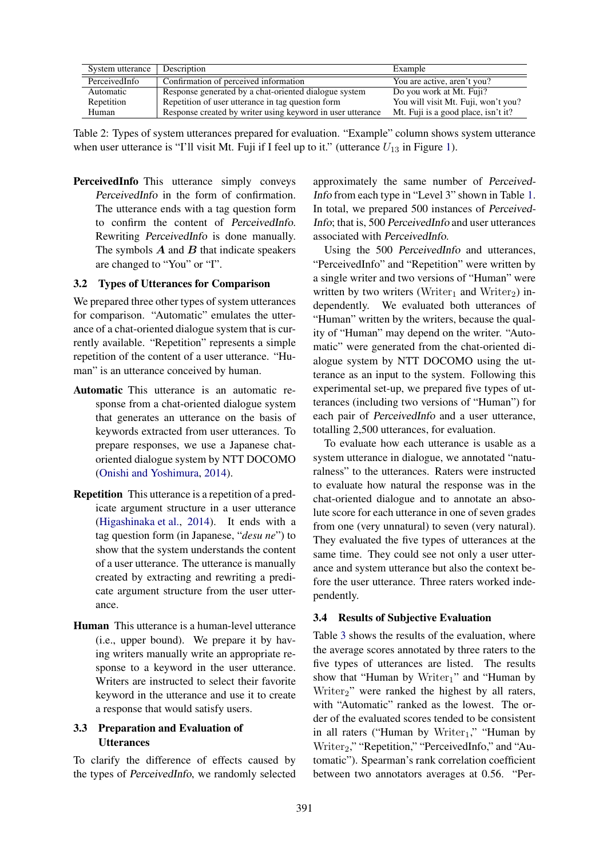| System utterance | Description                                                | Example                             |
|------------------|------------------------------------------------------------|-------------------------------------|
| PerceivedInfo    | Confirmation of perceived information                      | You are active, aren't you?         |
| Automatic        | Response generated by a chat-oriented dialogue system      | Do you work at Mt. Fuji?            |
| Repetition       | Repetition of user utterance in tag question form          | You will visit Mt. Fuji, won't you? |
| Human            | Response created by writer using keyword in user utterance | Mt. Fuji is a good place, isn't it? |

Table 2: Types of system utterances prepared for evaluation. "Example" column shows system utterance when user utterance is "I'll visit Mt. Fuji if I feel up to it." (utterance  $U_{13}$  in Figure 1).

PerceivedInfo This utterance simply conveys PerceivedInfo in the form of confirmation. The utterance ends with a tag question form to confirm the content of PerceivedInfo. Rewriting PerceivedInfo is done manually. The symbols  $\vec{A}$  and  $\vec{B}$  that indicate speakers are changed to "You" or "I".

#### 3.2 Types of Utterances for Comparison

We prepared three other types of system utterances for comparison. "Automatic" emulates the utterance of a chat-oriented dialogue system that is currently available. "Repetition" represents a simple repetition of the content of a user utterance. "Human" is an utterance conceived by human.

- Automatic This utterance is an automatic response from a chat-oriented dialogue system that generates an utterance on the basis of keywords extracted from user utterances. To prepare responses, we use a Japanese chatoriented dialogue system by NTT DOCOMO (Onishi and Yoshimura, 2014).
- Repetition This utterance is a repetition of a predicate argument structure in a user utterance (Higashinaka et al., 2014). It ends with a tag question form (in Japanese, "*desu ne*") to show that the system understands the content of a user utterance. The utterance is manually created by extracting and rewriting a predicate argument structure from the user utterance.
- Human This utterance is a human-level utterance (i.e., upper bound). We prepare it by having writers manually write an appropriate response to a keyword in the user utterance. Writers are instructed to select their favorite keyword in the utterance and use it to create a response that would satisfy users.

## 3.3 Preparation and Evaluation of **Utterances**

To clarify the difference of effects caused by the types of PerceivedInfo, we randomly selected approximately the same number of Perceived-Info from each type in "Level 3" shown in Table 1. In total, we prepared 500 instances of Perceived-Info; that is, 500 PerceivedInfo and user utterances associated with PerceivedInfo.

Using the 500 PerceivedInfo and utterances, "PerceivedInfo" and "Repetition" were written by a single writer and two versions of "Human" were written by two writers (Writer<sub>1</sub> and Writer<sub>2</sub>) independently. We evaluated both utterances of "Human" written by the writers, because the quality of "Human" may depend on the writer. "Automatic" were generated from the chat-oriented dialogue system by NTT DOCOMO using the utterance as an input to the system. Following this experimental set-up, we prepared five types of utterances (including two versions of "Human") for each pair of PerceivedInfo and a user utterance, totalling 2,500 utterances, for evaluation.

To evaluate how each utterance is usable as a system utterance in dialogue, we annotated "naturalness" to the utterances. Raters were instructed to evaluate how natural the response was in the chat-oriented dialogue and to annotate an absolute score for each utterance in one of seven grades from one (very unnatural) to seven (very natural). They evaluated the five types of utterances at the same time. They could see not only a user utterance and system utterance but also the context before the user utterance. Three raters worked independently.

## 3.4 Results of Subjective Evaluation

Table 3 shows the results of the evaluation, where the average scores annotated by three raters to the five types of utterances are listed. The results show that "Human by Writer<sub>1</sub>" and "Human by Writer<sub>2</sub>" were ranked the highest by all raters, with "Automatic" ranked as the lowest. The order of the evaluated scores tended to be consistent in all raters ("Human by Writer<sub>1</sub>," "Human by Writer<sub>2</sub>," "Repetition," "PerceivedInfo," and "Automatic"). Spearman's rank correlation coefficient between two annotators averages at 0.56. "Per-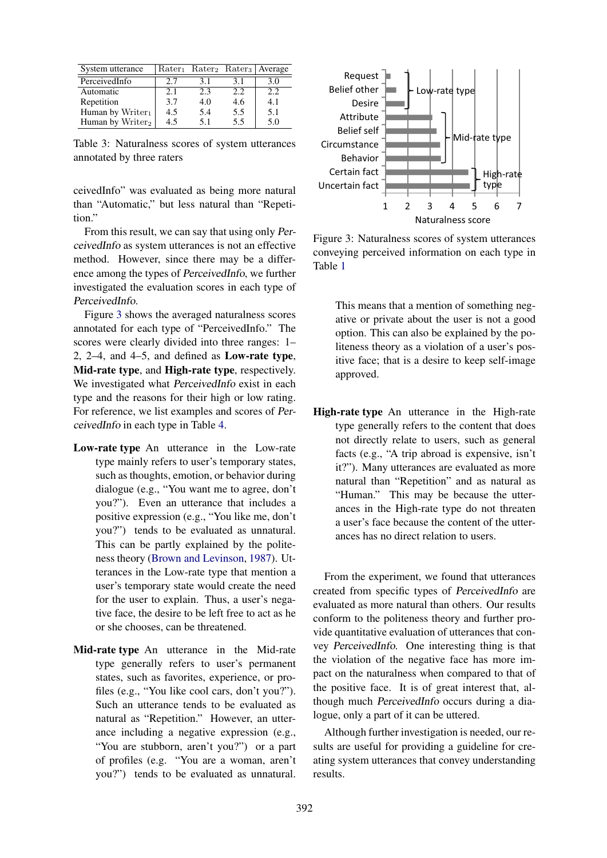| System utterance             |     |     |      | $Rater_1$ Rater <sub>2</sub> Rater <sub>3</sub> Average |
|------------------------------|-----|-----|------|---------------------------------------------------------|
| PerceivedInfo                | 2.7 | 3.1 | 3.1  | 3.0                                                     |
| Automatic                    | 2.1 | 2.3 | 2.2. | 2.2                                                     |
| Repetition                   | 3.7 | 4.0 | 4.6  | 4.1                                                     |
| Human by Writer $_1$         | 4.5 | 5.4 | 5.5  | 5.1                                                     |
| Human by Writer <sub>2</sub> | 4.5 | 5.1 | 5.5  | 5.0                                                     |

Table 3: Naturalness scores of system utterances annotated by three raters

ceivedInfo" was evaluated as being more natural than "Automatic," but less natural than "Repetition."

From this result, we can say that using only PerceivedInfo as system utterances is not an effective method. However, since there may be a difference among the types of PerceivedInfo, we further investigated the evaluation scores in each type of PerceivedInfo.

Figure 3 shows the averaged naturalness scores annotated for each type of "PerceivedInfo." The scores were clearly divided into three ranges: 1– 2, 2–4, and 4–5, and defined as Low-rate type, Mid-rate type, and High-rate type, respectively. We investigated what PerceivedInfo exist in each type and the reasons for their high or low rating. For reference, we list examples and scores of PerceivedInfo in each type in Table 4.

- Low-rate type An utterance in the Low-rate type mainly refers to user's temporary states, such as thoughts, emotion, or behavior during dialogue (e.g., "You want me to agree, don't you?"). Even an utterance that includes a positive expression (e.g., "You like me, don't you?") tends to be evaluated as unnatural. This can be partly explained by the politeness theory (Brown and Levinson, 1987). Utterances in the Low-rate type that mention a user's temporary state would create the need for the user to explain. Thus, a user's negative face, the desire to be left free to act as he or she chooses, can be threatened.
- Mid-rate type An utterance in the Mid-rate type generally refers to user's permanent states, such as favorites, experience, or profiles (e.g., "You like cool cars, don't you?"). Such an utterance tends to be evaluated as natural as "Repetition." However, an utterance including a negative expression (e.g., "You are stubborn, aren't you?") or a part of profiles (e.g. "You are a woman, aren't you?") tends to be evaluated as unnatural.



Figure 3: Naturalness scores of system utterances conveying perceived information on each type in Table 1

This means that a mention of something negative or private about the user is not a good option. This can also be explained by the politeness theory as a violation of a user's positive face; that is a desire to keep self-image approved.

High-rate type An utterance in the High-rate type generally refers to the content that does not directly relate to users, such as general facts (e.g., "A trip abroad is expensive, isn't it?"). Many utterances are evaluated as more natural than "Repetition" and as natural as "Human." This may be because the utterances in the High-rate type do not threaten a user's face because the content of the utterances has no direct relation to users.

From the experiment, we found that utterances created from specific types of PerceivedInfo are evaluated as more natural than others. Our results conform to the politeness theory and further provide quantitative evaluation of utterances that convey PerceivedInfo. One interesting thing is that the violation of the negative face has more impact on the naturalness when compared to that of the positive face. It is of great interest that, although much PerceivedInfo occurs during a dialogue, only a part of it can be uttered.

Although further investigation is needed, our results are useful for providing a guideline for creating system utterances that convey understanding results.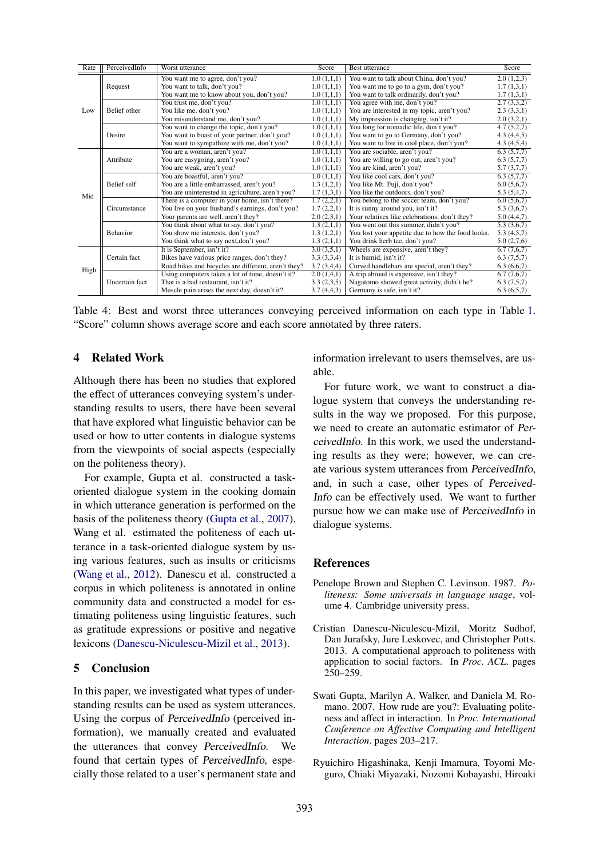| Rate | PerceivedInfo      | Worst utterance                                     | Score      | <b>Best utterance</b>                             | Score      |
|------|--------------------|-----------------------------------------------------|------------|---------------------------------------------------|------------|
| Low  | Request            | You want me to agree, don't you?                    | 1.0(1,1,1) | You want to talk about China, don't you?          | 2.0(1,2,3) |
|      |                    | You want to talk, don't you?                        | 1.0(1,1,1) | You want me to go to a gym, don't you?            | 1.7(1,3,1) |
|      |                    | You want me to know about you, don't you?           | 1.0(1,1,1) | You want to talk ordinarily, don't you?           | 1.7(1,3,1) |
|      |                    | You trust me, don't you?                            | 1.0(1,1,1) | You agree with me, don't you?                     | 2.7(3,3,2) |
|      | Belief other       | You like me, don't you?                             | 1.0(1,1,1) | You are interested in my topic, aren't you?       | 2.3(3,3,1) |
|      |                    | You misunderstand me, don't you?                    | 1.0(1,1,1) | My impression is changing, isn't it?              | 2.0(3,2,1) |
|      |                    | You want to change the topic, don't you?            | 1.0(1,1,1) | You long for nomadic life, don't you?             | 4.7(5,2,7) |
|      | Desire             | You want to boast of your partner, don't you?       | 1.0(1,1,1) | You want to go to Germany, don't you?             | 4.3(4,4,5) |
|      |                    | You want to sympathize with me, don't you?          | 1.0(1,1,1) | You want to live in cool place, don't you?        | 4.3(4,5,4) |
|      |                    | You are a woman, aren't you?                        | 1.0(1,1,1) | You are sociable, aren't you?                     | 6.3(5,7,7) |
|      | Attribute          | You are easygoing, aren't you?                      | 1.0(1,1,1) | You are willing to go out, aren't you?            | 6.3(5,7,7) |
|      |                    | You are weak, aren't you?                           | 1.0(1,1,1) | You are kind, aren't you?                         | 5.7(3,7,7) |
|      |                    | You are boastful, aren't you?                       | 1.0(1,1,1) | You like cool cars, don't you?                    | 6.3(5,7,7) |
|      | <b>Belief</b> self | You are a little embarrassed, aren't you?           | 1.3(1,2,1) | You like Mt. Fuji, don't you?                     | 6.0(5,6,7) |
| Mid  |                    | You are uninterested in agriculture, aren't you?    | 1.7(1,3,1) | You like the outdoors, don't you?                 | 5.3(5,4,7) |
|      | Circumstance       | There is a computer in your home, isn't there?      | 1.7(2,2,1) | You belong to the soccer team, don't you?         | 6.0(5,6,7) |
|      |                    | You live on your husband's earnings, don't you?     | 1.7(2,2,1) | It is sunny around you, isn't it?                 | 5.3(3,6,7) |
|      |                    | Your parents are well, aren't they?                 | 2.0(2,3,1) | Your relatives like celebrations, don't they?     | 5.0(4,4,7) |
|      | <b>Behavior</b>    | You think about what to say, don't you?             | 1.3(2,1,1) | You went out this summer, didn't you?             | 5.3(3,6,7) |
|      |                    | You show me interests, don't you?                   | 1.3(1,2,1) | You lost your appetite due to how the food looks. | 5.3(4,5,7) |
|      |                    | You think what to say next, don't you?              | 1.3(2,1,1) | You drink herb tee, don't you?                    | 5.0(2,7,6) |
| High | Certain fact       | It is September, isn't it?                          | 3.0(3,5,1) | Wheels are expensive, aren't they?                | 6.7(7,6,7) |
|      |                    | Bikes have various price ranges, don't they?        | 3.3(3,3,4) | It is humid, isn't it?                            | 6.3(7,5,7) |
|      |                    | Road bikes and bicycles are different, aren't they? | 3.7(3,4,4) | Curved handlebars are special, aren't they?       | 6.3(6,6,7) |
|      | Uncertain fact     | Using computers takes a lot of time, doesn't it?    | 2.0(1,4,1) | A trip abroad is expensive, isn't they?           | 6.7(7,6,7) |
|      |                    | That is a bad restaurant, isn't it?                 | 3.3(2,3,5) | Nagatomo showed great activity, didn't he?        | 6.3(7,5,7) |
|      |                    | Muscle pain arises the next day, doesn't it?        | 3.7(4,4,3) | Germany is safe, isn't it?                        | 6.3(6,5,7) |

Table 4: Best and worst three utterances conveying perceived information on each type in Table 1. "Score" column shows average score and each score annotated by three raters.

## 4 Related Work

Although there has been no studies that explored the effect of utterances conveying system's understanding results to users, there have been several that have explored what linguistic behavior can be used or how to utter contents in dialogue systems from the viewpoints of social aspects (especially on the politeness theory).

For example, Gupta et al. constructed a taskoriented dialogue system in the cooking domain in which utterance generation is performed on the basis of the politeness theory (Gupta et al., 2007). Wang et al. estimated the politeness of each utterance in a task-oriented dialogue system by using various features, such as insults or criticisms (Wang et al., 2012). Danescu et al. constructed a corpus in which politeness is annotated in online community data and constructed a model for estimating politeness using linguistic features, such as gratitude expressions or positive and negative lexicons (Danescu-Niculescu-Mizil et al., 2013).

## 5 Conclusion

In this paper, we investigated what types of understanding results can be used as system utterances. Using the corpus of PerceivedInfo (perceived information), we manually created and evaluated the utterances that convey PerceivedInfo. We found that certain types of PerceivedInfo, especially those related to a user's permanent state and information irrelevant to users themselves, are usable.

For future work, we want to construct a dialogue system that conveys the understanding results in the way we proposed. For this purpose, we need to create an automatic estimator of PerceivedInfo. In this work, we used the understanding results as they were; however, we can create various system utterances from PerceivedInfo, and, in such a case, other types of Perceived-Info can be effectively used. We want to further pursue how we can make use of PerceivedInfo in dialogue systems.

## References

- Penelope Brown and Stephen C. Levinson. 1987. *Politeness: Some universals in language usage*, volume 4. Cambridge university press.
- Cristian Danescu-Niculescu-Mizil, Moritz Sudhof, Dan Jurafsky, Jure Leskovec, and Christopher Potts. 2013. A computational approach to politeness with application to social factors. In *Proc. ACL*. pages 250–259.
- Swati Gupta, Marilyn A. Walker, and Daniela M. Romano. 2007. How rude are you?: Evaluating politeness and affect in interaction. In *Proc. International Conference on Affective Computing and Intelligent Interaction*. pages 203–217.
- Ryuichiro Higashinaka, Kenji Imamura, Toyomi Meguro, Chiaki Miyazaki, Nozomi Kobayashi, Hiroaki